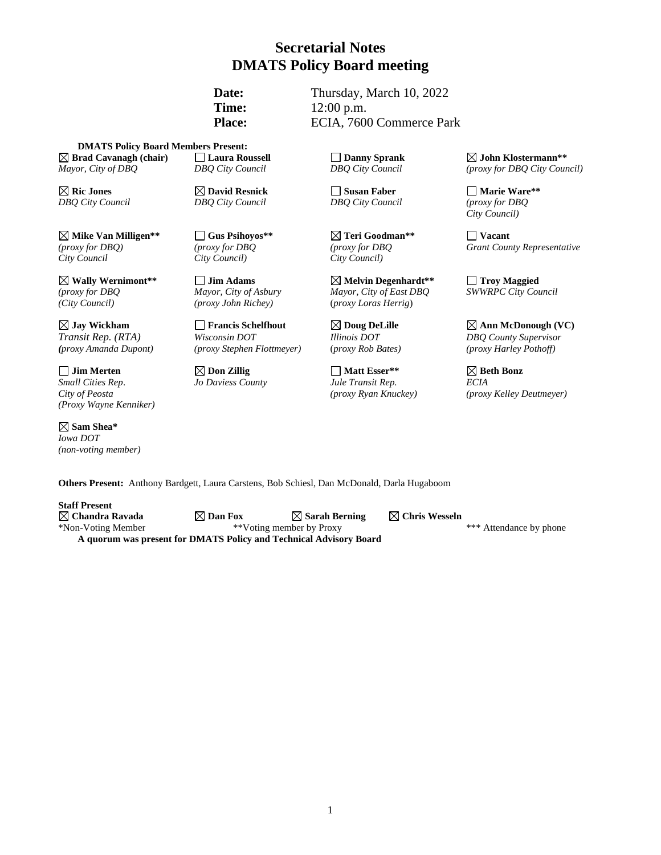# **Secretarial Notes DMATS Policy Board meeting**

Date: Thursday, March 10, 2022 **Time:** 12:00 p.m. Place: ECIA, 7600 Commerce Park

**DMATS Policy Board Members Present: Brad Cavanagh (chair) Laura Roussell Danny Sprank John Klostermann\*\*** *Mayor, City of DBQ DBQ City Council DBQ City Council (proxy for DBQ City Council)*

**Mike Van Milligen\*\* Gus Psihoyos\*\* Teri Goodman\*\* Vacant** *City Council City Council) City Council)*

*(City Council) (proxy John Richey)* (*proxy Loras Herrig*)

 $\Box$  **Jim Merten**  $\Box$  **Don Zillig**  $\Box$  **Matt Esser\*\***  $\Box$  **Beth Bonz** *Small Cities Rep*. *Jo Daviess County Jule Transit Rep. ECIA (Proxy Wayne Kenniker)*

**Sam Shea\***  *Iowa DOT (non-voting member)*

**Ric Jones David Resnick Susan Faber Marie Ware\*\*** *DBQ City Council DBQ City Council DBQ City Council (proxy for DBQ*

*Transit Rep. (RTA) Wisconsin DOT Illinois DOT DBQ County Supervisor*

**Wally Wernimont\*\* Jim Adams Melvin Degenhardt\*\* Troy Maggied** *(proxy for DBQ <i>Mayor, City of Asbury Mayor, City of East DBQ* 

*City Council)*

*(proxy for DBQ) (proxy for DBQ (proxy for DBQ Grant County Representative*

 $\boxtimes$  Jay Wickham  $\Box$  Francis Schelfhout  $\boxtimes$  Doug DeLille  $\boxtimes$  Ann McDonough (VC) *(proxy Amanda Dupont) (proxy Stephen Flottmeyer)* (*proxy Rob Bates) (proxy Harley Pothoff)*

*City of Peosta (proxy Ryan Knuckey) (proxy Kelley Deutmeyer)*

**Others Present:** Anthony Bardgett, Laura Carstens, Bob Schiesl, Dan McDonald, Darla Hugaboom

**Staff Present**

**A quorum was present for DMATS Policy and Technical Advisory Board**

**Chandra Ravada Dan Fox Sarah Berning Chris Wesseln** \*Non-Voting Member \*\*Voting member by Proxy \*\*\* Attendance by phone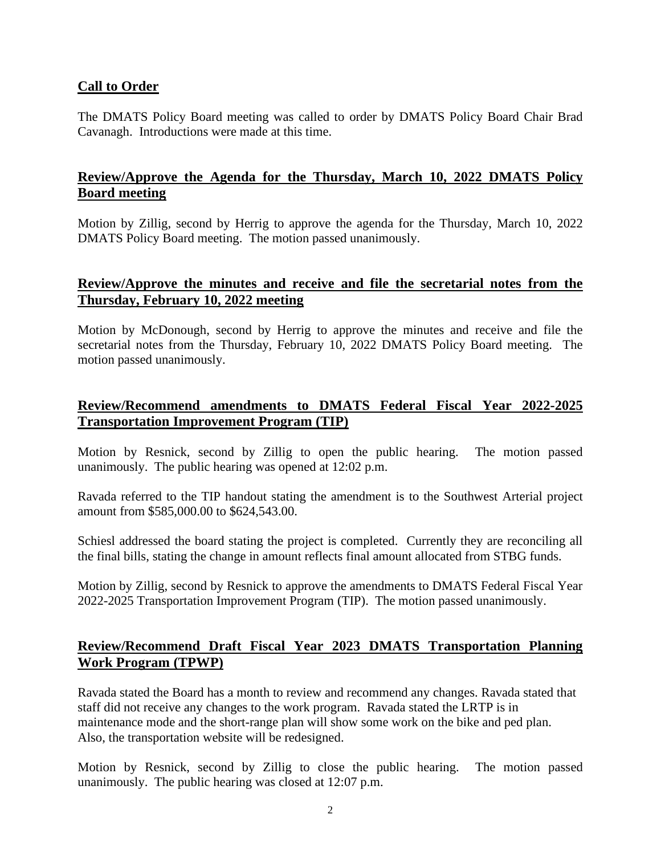#### **Call to Order**

The DMATS Policy Board meeting was called to order by DMATS Policy Board Chair Brad Cavanagh. Introductions were made at this time.

## **Review/Approve the Agenda for the Thursday, March 10, 2022 DMATS Policy Board meeting**

Motion by Zillig, second by Herrig to approve the agenda for the Thursday, March 10, 2022 DMATS Policy Board meeting. The motion passed unanimously.

## **Review/Approve the minutes and receive and file the secretarial notes from the Thursday, February 10, 2022 meeting**

Motion by McDonough, second by Herrig to approve the minutes and receive and file the secretarial notes from the Thursday, February 10, 2022 DMATS Policy Board meeting. The motion passed unanimously.

## **Review/Recommend amendments to DMATS Federal Fiscal Year 2022-2025 Transportation Improvement Program (TIP)**

Motion by Resnick, second by Zillig to open the public hearing. The motion passed unanimously. The public hearing was opened at 12:02 p.m.

Ravada referred to the TIP handout stating the amendment is to the Southwest Arterial project amount from \$585,000.00 to \$624,543.00.

Schiesl addressed the board stating the project is completed. Currently they are reconciling all the final bills, stating the change in amount reflects final amount allocated from STBG funds.

Motion by Zillig, second by Resnick to approve the amendments to DMATS Federal Fiscal Year 2022-2025 Transportation Improvement Program (TIP). The motion passed unanimously.

## **Review/Recommend Draft Fiscal Year 2023 DMATS Transportation Planning Work Program (TPWP)**

Ravada stated the Board has a month to review and recommend any changes. Ravada stated that staff did not receive any changes to the work program. Ravada stated the LRTP is in maintenance mode and the short-range plan will show some work on the bike and ped plan. Also, the transportation website will be redesigned.

Motion by Resnick, second by Zillig to close the public hearing. The motion passed unanimously. The public hearing was closed at 12:07 p.m.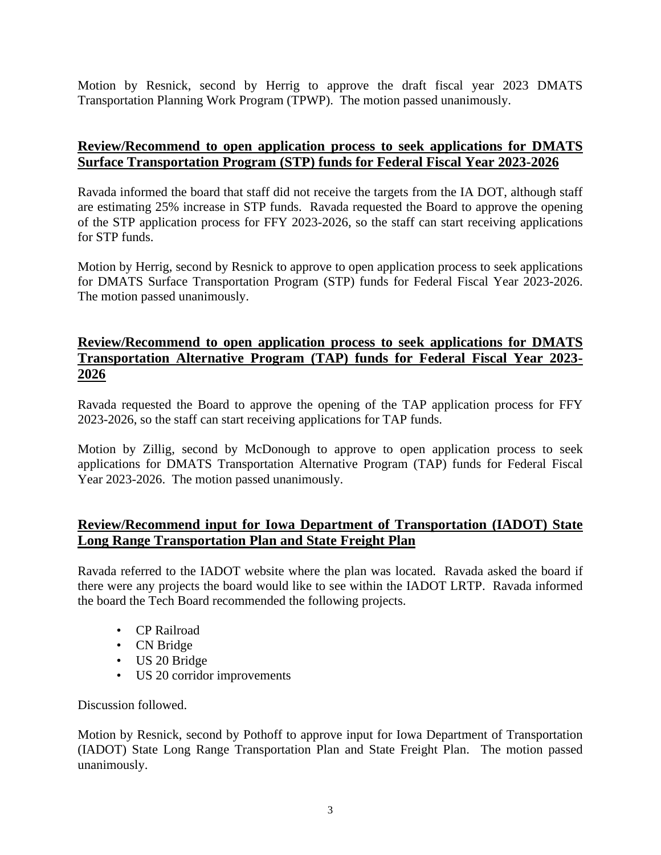Motion by Resnick, second by Herrig to approve the draft fiscal year 2023 DMATS Transportation Planning Work Program (TPWP). The motion passed unanimously.

## **Review/Recommend to open application process to seek applications for DMATS Surface Transportation Program (STP) funds for Federal Fiscal Year 2023-2026**

Ravada informed the board that staff did not receive the targets from the IA DOT, although staff are estimating 25% increase in STP funds. Ravada requested the Board to approve the opening of the STP application process for FFY 2023-2026, so the staff can start receiving applications for STP funds.

Motion by Herrig, second by Resnick to approve to open application process to seek applications for DMATS Surface Transportation Program (STP) funds for Federal Fiscal Year 2023-2026. The motion passed unanimously.

## **Review/Recommend to open application process to seek applications for DMATS Transportation Alternative Program (TAP) funds for Federal Fiscal Year 2023- 2026**

Ravada requested the Board to approve the opening of the TAP application process for FFY 2023-2026, so the staff can start receiving applications for TAP funds.

Motion by Zillig, second by McDonough to approve to open application process to seek applications for DMATS Transportation Alternative Program (TAP) funds for Federal Fiscal Year 2023-2026. The motion passed unanimously.

#### **Review/Recommend input for Iowa Department of Transportation (IADOT) State Long Range Transportation Plan and State Freight Plan**

Ravada referred to the IADOT website where the plan was located. Ravada asked the board if there were any projects the board would like to see within the IADOT LRTP. Ravada informed the board the Tech Board recommended the following projects.

- CP Railroad
- CN Bridge
- US 20 Bridge
- US 20 corridor improvements

Discussion followed.

Motion by Resnick, second by Pothoff to approve input for Iowa Department of Transportation (IADOT) State Long Range Transportation Plan and State Freight Plan. The motion passed unanimously.